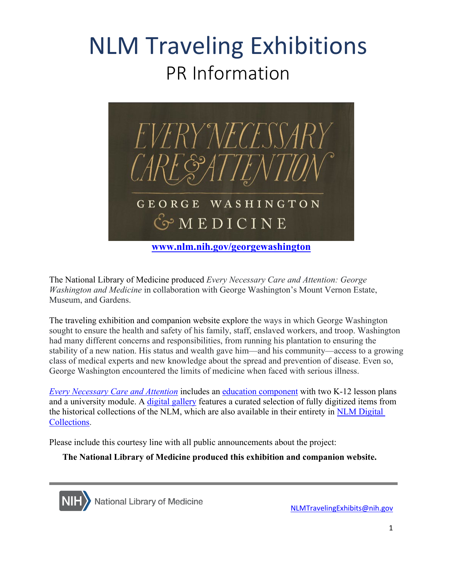## NLM Traveling Exhibitions PR Information



The National Library of Medicine produced *Every Necessary Care and Attention: George Washington and Medicine* in collaboration with George Washington's Mount Vernon Estate, Museum, and Gardens.

 The traveling exhibition and companion website explore the ways in which George Washington George Washington encountered the limits of medicine when faced with serious illness. sought to ensure the health and safety of his family, staff, enslaved workers, and troop. Washington had many different concerns and responsibilities, from running his plantation to ensuring the stability of a new nation. His status and wealth gave him—and his community—access to a growing class of medical experts and new knowledge about the spread and prevention of disease. Even so,

and a university module. A *digital gallery* features a curated selection of fully digitized items from the historical collections of the NLM, which are also available in their entirety in NLM Digital *[Every Necessary Care and Attention](http://www.nlm.nih.gov/georgewashington)* includes an [education component](https://www.nlm.nih.gov/exhibition/georgewashington/education/index.html) with two K-12 lesson plans [Collections.](https://collections.nlm.nih.gov/)

Please include this courtesy line with all public announcements about the project:

**The National Library of Medicine produced this exhibition and companion website.** 



[NLMTravelingExhibits@nih.gov](mailto:NLMTravelingExhibits@nih.gov)